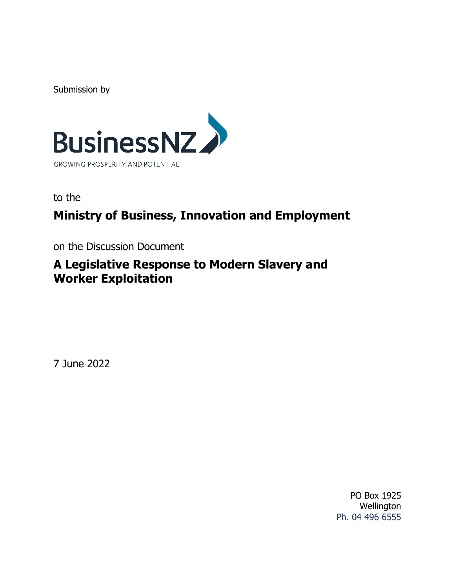Submission by



to the

# **Ministry of Business, Innovation and Employment**

on the Discussion Document

## **A Legislative Response to Modern Slavery and Worker Exploitation**

7 June 2022

PO Box 1925 **Wellington** Ph. 04 496 6555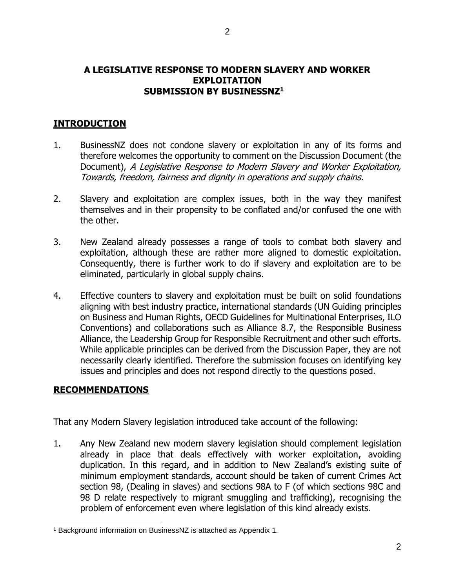#### **A LEGISLATIVE RESPONSE TO MODERN SLAVERY AND WORKER EXPLOITATION SUBMISSION BY BUSINESSNZ<sup>1</sup>**

#### **INTRODUCTION**

- 1. BusinessNZ does not condone slavery or exploitation in any of its forms and therefore welcomes the opportunity to comment on the Discussion Document (the Document), A Legislative Response to Modern Slavery and Worker Exploitation, Towards, freedom, fairness and dignity in operations and supply chains.
- 2. Slavery and exploitation are complex issues, both in the way they manifest themselves and in their propensity to be conflated and/or confused the one with the other.
- 3. New Zealand already possesses a range of tools to combat both slavery and exploitation, although these are rather more aligned to domestic exploitation. Consequently, there is further work to do if slavery and exploitation are to be eliminated, particularly in global supply chains.
- 4. Effective counters to slavery and exploitation must be built on solid foundations aligning with best industry practice, international standards (UN Guiding principles on Business and Human Rights, OECD Guidelines for Multinational Enterprises, ILO Conventions) and collaborations such as Alliance 8.7, the Responsible Business Alliance, the Leadership Group for Responsible Recruitment and other such efforts. While applicable principles can be derived from the Discussion Paper, they are not necessarily clearly identified. Therefore the submission focuses on identifying key issues and principles and does not respond directly to the questions posed.

#### **RECOMMENDATIONS**

That any Modern Slavery legislation introduced take account of the following:

1. Any New Zealand new modern slavery legislation should complement legislation already in place that deals effectively with worker exploitation, avoiding duplication. In this regard, and in addition to New Zealand's existing suite of minimum employment standards, account should be taken of current Crimes Act section 98, (Dealing in slaves) and sections 98A to F (of which sections 98C and 98 D relate respectively to migrant smuggling and trafficking), recognising the problem of enforcement even where legislation of this kind already exists.

<sup>1</sup> Background information on BusinessNZ is attached as Appendix 1.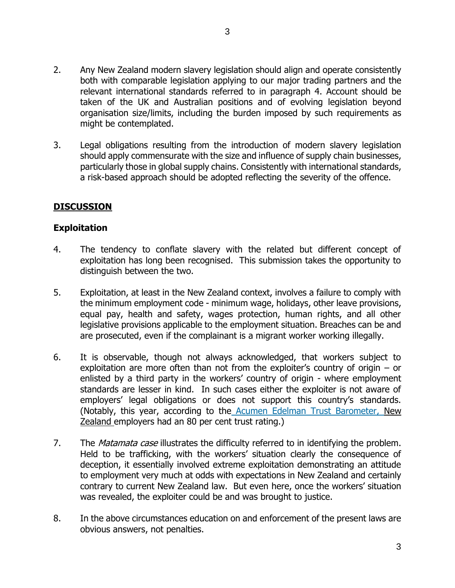- 2. Any New Zealand modern slavery legislation should align and operate consistently both with comparable legislation applying to our major trading partners and the relevant international standards referred to in paragraph 4. Account should be taken of the UK and Australian positions and of evolving legislation beyond organisation size/limits, including the burden imposed by such requirements as might be contemplated.
- 3. Legal obligations resulting from the introduction of modern slavery legislation should apply commensurate with the size and influence of supply chain businesses, particularly those in global supply chains. Consistently with international standards, a risk-based approach should be adopted reflecting the severity of the offence.

## **DISCUSSION**

## **Exploitation**

- 4. The tendency to conflate slavery with the related but different concept of exploitation has long been recognised. This submission takes the opportunity to distinguish between the two.
- 5. Exploitation, at least in the New Zealand context, involves a failure to comply with the minimum employment code - minimum wage, holidays, other leave provisions, equal pay, health and safety, wages protection, human rights, and all other legislative provisions applicable to the employment situation. Breaches can be and are prosecuted, even if the complainant is a migrant worker working illegally.
- 6. It is observable, though not always acknowledged, that workers subject to exploitation are more often than not from the exploiter's country of origin – or enlisted by a third party in the workers' country of origin - where employment standards are lesser in kind. In such cases either the exploiter is not aware of employers' legal obligations or does not support this country's standards. (Notably, this year, according to the [Acumen Edelman Trust Barometer,](https://acumennz.com/the-acumen-edelman-trust-barometer/2022/?msclkid=873a52a1babf11ec8e85c4433ba4df55) New Zealand employers had an 80 per cent trust rating.)
- 7. The *Matamata case* illustrates the difficulty referred to in identifying the problem. Held to be trafficking, with the workers' situation clearly the consequence of deception, it essentially involved extreme exploitation demonstrating an attitude to employment very much at odds with expectations in New Zealand and certainly contrary to current New Zealand law. But even here, once the workers' situation was revealed, the exploiter could be and was brought to justice.
- 8. In the above circumstances education on and enforcement of the present laws are obvious answers, not penalties.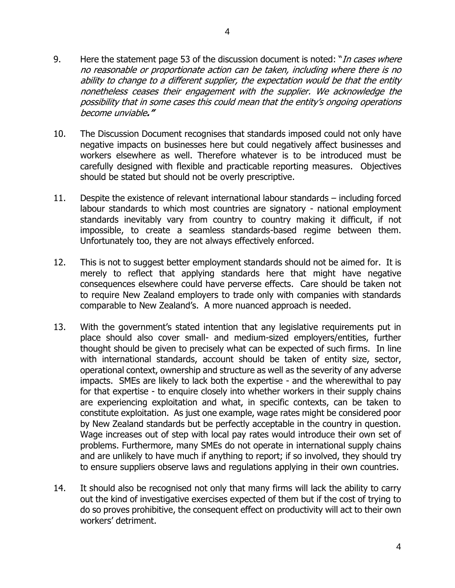- 9. Here the statement page 53 of the discussion document is noted: "*In cases where* no reasonable or proportionate action can be taken, including where there is no ability to change to a different supplier, the expectation would be that the entity nonetheless ceases their engagement with the supplier. We acknowledge the possibility that in some cases this could mean that the entity's ongoing operations become unviable**."**
- 10. The Discussion Document recognises that standards imposed could not only have negative impacts on businesses here but could negatively affect businesses and workers elsewhere as well. Therefore whatever is to be introduced must be carefully designed with flexible and practicable reporting measures. Objectives should be stated but should not be overly prescriptive.
- 11. Despite the existence of relevant international labour standards including forced labour standards to which most countries are signatory - national employment standards inevitably vary from country to country making it difficult, if not impossible, to create a seamless standards-based regime between them. Unfortunately too, they are not always effectively enforced.
- 12. This is not to suggest better employment standards should not be aimed for. It is merely to reflect that applying standards here that might have negative consequences elsewhere could have perverse effects. Care should be taken not to require New Zealand employers to trade only with companies with standards comparable to New Zealand's. A more nuanced approach is needed.
- 13. With the government's stated intention that any legislative requirements put in place should also cover small- and medium-sized employers/entities, further thought should be given to precisely what can be expected of such firms. In line with international standards, account should be taken of entity size, sector, operational context, ownership and structure as well as the severity of any adverse impacts. SMEs are likely to lack both the expertise - and the wherewithal to pay for that expertise - to enquire closely into whether workers in their supply chains are experiencing exploitation and what, in specific contexts, can be taken to constitute exploitation. As just one example, wage rates might be considered poor by New Zealand standards but be perfectly acceptable in the country in question. Wage increases out of step with local pay rates would introduce their own set of problems. Furthermore, many SMEs do not operate in international supply chains and are unlikely to have much if anything to report; if so involved, they should try to ensure suppliers observe laws and regulations applying in their own countries.
- 14. It should also be recognised not only that many firms will lack the ability to carry out the kind of investigative exercises expected of them but if the cost of trying to do so proves prohibitive, the consequent effect on productivity will act to their own workers' detriment.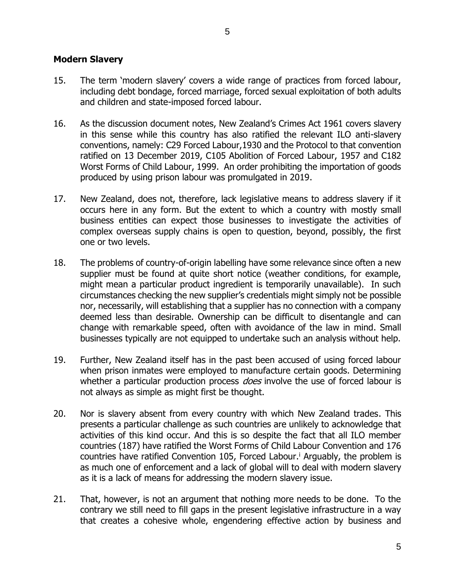#### **Modern Slavery**

15. The term 'modern slavery' covers a wide range of practices from forced labour, including debt bondage, forced marriage, forced sexual exploitation of both adults and children and state-imposed forced labour.

5

- 16. As the discussion document notes, New Zealand's Crimes Act 1961 covers slavery in this sense while this country has also ratified the relevant ILO anti-slavery conventions, namely: C29 Forced Labour,1930 and the Protocol to that convention ratified on 13 December 2019, C105 Abolition of Forced Labour, 1957 and C182 Worst Forms of Child Labour, 1999. An order prohibiting the importation of goods produced by using prison labour was promulgated in 2019.
- 17. New Zealand, does not, therefore, lack legislative means to address slavery if it occurs here in any form. But the extent to which a country with mostly small business entities can expect those businesses to investigate the activities of complex overseas supply chains is open to question, beyond, possibly, the first one or two levels.
- 18. The problems of country-of-origin labelling have some relevance since often a new supplier must be found at quite short notice (weather conditions, for example, might mean a particular product ingredient is temporarily unavailable). In such circumstances checking the new supplier's credentials might simply not be possible nor, necessarily, will establishing that a supplier has no connection with a company deemed less than desirable. Ownership can be difficult to disentangle and can change with remarkable speed, often with avoidance of the law in mind. Small businesses typically are not equipped to undertake such an analysis without help.
- 19. Further, New Zealand itself has in the past been accused of using forced labour when prison inmates were employed to manufacture certain goods. Determining whether a particular production process *does* involve the use of forced labour is not always as simple as might first be thought.
- 20. Nor is slavery absent from every country with which New Zealand trades. This presents a particular challenge as such countries are unlikely to acknowledge that activities of this kind occur. And this is so despite the fact that all ILO member countries (187) have ratified the Worst Forms of Child Labour Convention and 176 countries have ratified Convention 105, Forced Labour.<sup>i</sup> Arguably, the problem is as much one of enforcement and a lack of global will to deal with modern slavery as it is a lack of means for addressing the modern slavery issue.
- 21. That, however, is not an argument that nothing more needs to be done. To the contrary we still need to fill gaps in the present legislative infrastructure in a way that creates a cohesive whole, engendering effective action by business and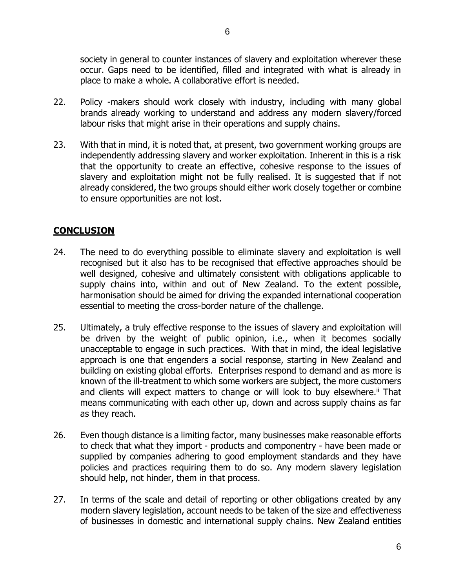society in general to counter instances of slavery and exploitation wherever these occur. Gaps need to be identified, filled and integrated with what is already in place to make a whole. A collaborative effort is needed.

- 22. Policy -makers should work closely with industry, including with many global brands already working to understand and address any modern slavery/forced labour risks that might arise in their operations and supply chains.
- 23. With that in mind, it is noted that, at present, two government working groups are independently addressing slavery and worker exploitation. Inherent in this is a risk that the opportunity to create an effective, cohesive response to the issues of slavery and exploitation might not be fully realised. It is suggested that if not already considered, the two groups should either work closely together or combine to ensure opportunities are not lost.

## **CONCLUSION**

- 24. The need to do everything possible to eliminate slavery and exploitation is well recognised but it also has to be recognised that effective approaches should be well designed, cohesive and ultimately consistent with obligations applicable to supply chains into, within and out of New Zealand. To the extent possible, harmonisation should be aimed for driving the expanded international cooperation essential to meeting the cross-border nature of the challenge.
- 25. Ultimately, a truly effective response to the issues of slavery and exploitation will be driven by the weight of public opinion, i.e., when it becomes socially unacceptable to engage in such practices. With that in mind, the ideal legislative approach is one that engenders a social response, starting in New Zealand and building on existing global efforts. Enterprises respond to demand and as more is known of the ill-treatment to which some workers are subject, the more customers and clients will expect matters to change or will look to buy elsewhere.<sup>ii</sup> That means communicating with each other up, down and across supply chains as far as they reach.
- 26. Even though distance is a limiting factor, many businesses make reasonable efforts to check that what they import - products and componentry - have been made or supplied by companies adhering to good employment standards and they have policies and practices requiring them to do so. Any modern slavery legislation should help, not hinder, them in that process.
- 27. In terms of the scale and detail of reporting or other obligations created by any modern slavery legislation, account needs to be taken of the size and effectiveness of businesses in domestic and international supply chains. New Zealand entities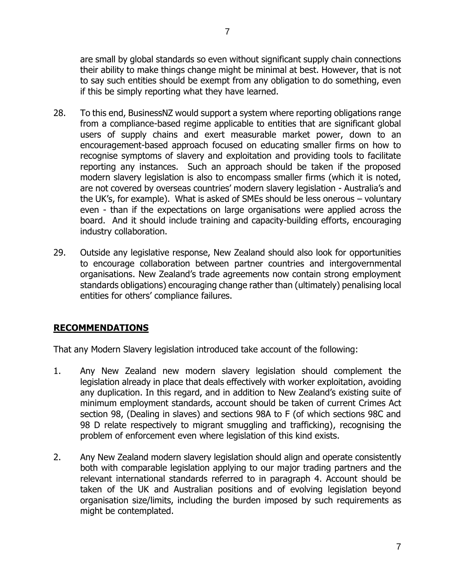are small by global standards so even without significant supply chain connections their ability to make things change might be minimal at best. However, that is not to say such entities should be exempt from any obligation to do something, even if this be simply reporting what they have learned.

- 28. To this end, BusinessNZ would support a system where reporting obligations range from a compliance-based regime applicable to entities that are significant global users of supply chains and exert measurable market power, down to an encouragement-based approach focused on educating smaller firms on how to recognise symptoms of slavery and exploitation and providing tools to facilitate reporting any instances. Such an approach should be taken if the proposed modern slavery legislation is also to encompass smaller firms (which it is noted, are not covered by overseas countries' modern slavery legislation - Australia's and the UK's, for example). What is asked of SMEs should be less onerous – voluntary even - than if the expectations on large organisations were applied across the board. And it should include training and capacity-building efforts, encouraging industry collaboration.
- 29. Outside any legislative response, New Zealand should also look for opportunities to encourage collaboration between partner countries and intergovernmental organisations. New Zealand's trade agreements now contain strong employment standards obligations) encouraging change rather than (ultimately) penalising local entities for others' compliance failures.

## **RECOMMENDATIONS**

That any Modern Slavery legislation introduced take account of the following:

- 1. Any New Zealand new modern slavery legislation should complement the legislation already in place that deals effectively with worker exploitation, avoiding any duplication. In this regard, and in addition to New Zealand's existing suite of minimum employment standards, account should be taken of current Crimes Act section 98, (Dealing in slaves) and sections 98A to F (of which sections 98C and 98 D relate respectively to migrant smuggling and trafficking), recognising the problem of enforcement even where legislation of this kind exists.
- 2. Any New Zealand modern slavery legislation should align and operate consistently both with comparable legislation applying to our major trading partners and the relevant international standards referred to in paragraph 4. Account should be taken of the UK and Australian positions and of evolving legislation beyond organisation size/limits, including the burden imposed by such requirements as might be contemplated.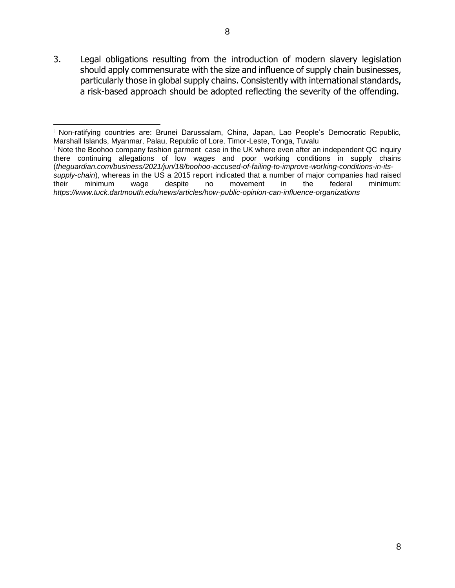3. Legal obligations resulting from the introduction of modern slavery legislation should apply commensurate with the size and influence of supply chain businesses, particularly those in global supply chains. Consistently with international standards, a risk-based approach should be adopted reflecting the severity of the offending.

<sup>i</sup> Non-ratifying countries are: Brunei Darussalam, China, Japan, Lao People's Democratic Republic, Marshall Islands, Myanmar, Palau, Republic of Lore. Timor-Leste, Tonga, Tuvalu

ii Note the Boohoo company fashion garment case in the UK where even after an independent QC inquiry there continuing allegations of low wages and poor working conditions in supply chains (*theguardian.com/business/2021/jun/18/boohoo-accused-of-failing-to-improve-working-conditions-in-itssupply-chain*), whereas in the US a 2015 report indicated that a number of major companies had raised their minimum wage despite no movement in the federal minimum: *https://www.tuck.dartmouth.edu/news/articles/how-public-opinion-can-influence-organizations*